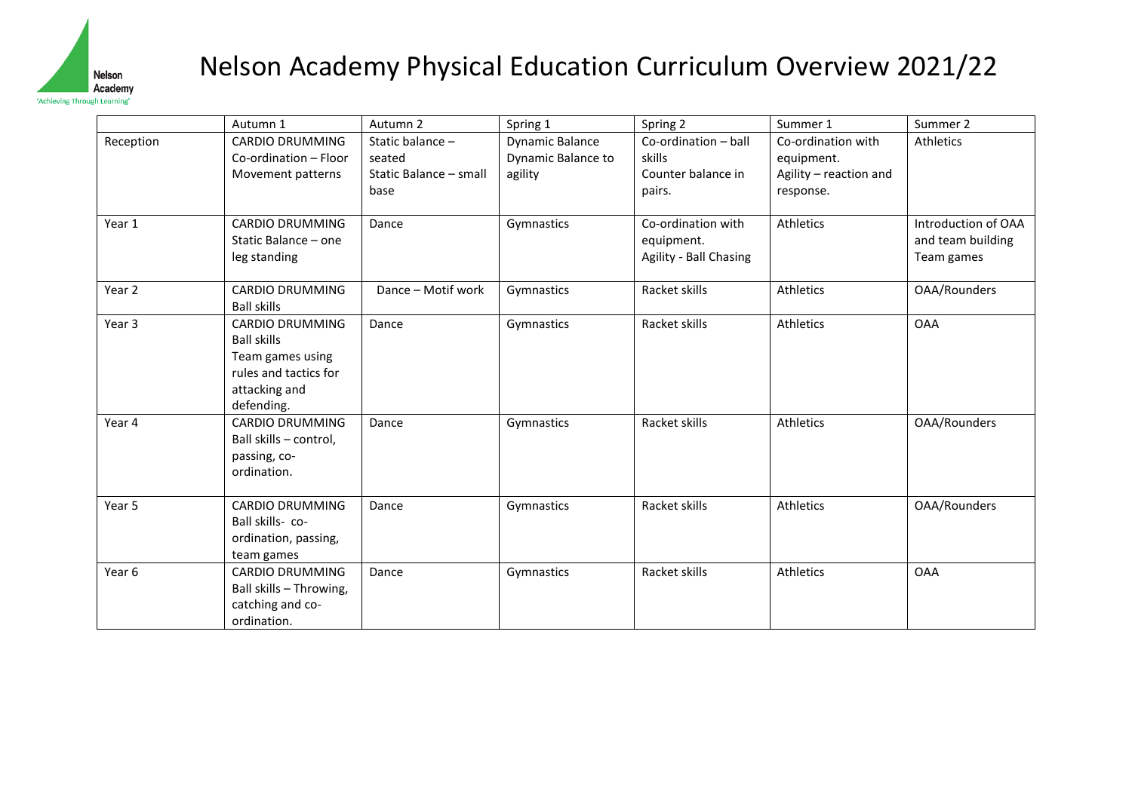

## Nelson Academy Physical Education Curriculum Overview 2021/22

|           | Autumn 1                                                                                                          | Autumn 2                                                     | Spring 1                                         | Spring 2                                                       | Summer 1                                                                | Summer 2                                               |
|-----------|-------------------------------------------------------------------------------------------------------------------|--------------------------------------------------------------|--------------------------------------------------|----------------------------------------------------------------|-------------------------------------------------------------------------|--------------------------------------------------------|
| Reception | <b>CARDIO DRUMMING</b><br>Co-ordination - Floor<br>Movement patterns                                              | Static balance -<br>seated<br>Static Balance - small<br>base | Dynamic Balance<br>Dynamic Balance to<br>agility | Co-ordination - ball<br>skills<br>Counter balance in<br>pairs. | Co-ordination with<br>equipment.<br>Agility - reaction and<br>response. | Athletics                                              |
| Year 1    | <b>CARDIO DRUMMING</b><br>Static Balance - one<br>leg standing                                                    | Dance                                                        | Gymnastics                                       | Co-ordination with<br>equipment.<br>Agility - Ball Chasing     | Athletics                                                               | Introduction of OAA<br>and team building<br>Team games |
| Year 2    | <b>CARDIO DRUMMING</b><br><b>Ball skills</b>                                                                      | Dance - Motif work                                           | Gymnastics                                       | Racket skills                                                  | Athletics                                                               | OAA/Rounders                                           |
| Year 3    | CARDIO DRUMMING<br><b>Ball skills</b><br>Team games using<br>rules and tactics for<br>attacking and<br>defending. | Dance                                                        | Gymnastics                                       | Racket skills                                                  | Athletics                                                               | <b>OAA</b>                                             |
| Year 4    | CARDIO DRUMMING<br>Ball skills - control,<br>passing, co-<br>ordination.                                          | Dance                                                        | Gymnastics                                       | Racket skills                                                  | Athletics                                                               | OAA/Rounders                                           |
| Year 5    | <b>CARDIO DRUMMING</b><br>Ball skills-co-<br>ordination, passing,<br>team games                                   | Dance                                                        | Gymnastics                                       | Racket skills                                                  | Athletics                                                               | OAA/Rounders                                           |
| Year 6    | <b>CARDIO DRUMMING</b><br>Ball skills - Throwing,<br>catching and co-<br>ordination.                              | Dance                                                        | Gymnastics                                       | Racket skills                                                  | <b>Athletics</b>                                                        | <b>OAA</b>                                             |